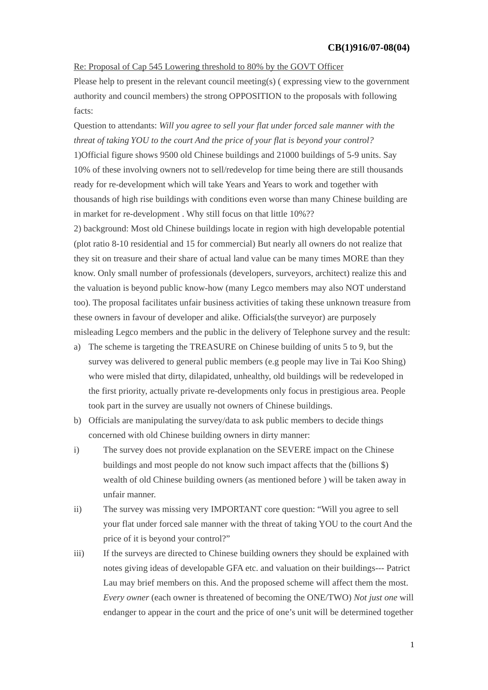## Re: Proposal of Cap 545 Lowering threshold to 80% by the GOVT Officer

Please help to present in the relevant council meeting(s) ( expressing view to the government authority and council members) the strong OPPOSITION to the proposals with following facts:

## Question to attendants: *Will you agree to sell your flat under forced sale manner with the threat of taking YOU to the court And the price of your flat is beyond your control?*

1)Official figure shows 9500 old Chinese buildings and 21000 buildings of 5-9 units. Say 10% of these involving owners not to sell/redevelop for time being there are still thousands ready for re-development which will take Years and Years to work and together with thousands of high rise buildings with conditions even worse than many Chinese building are in market for re-development . Why still focus on that little 10%??

2) background: Most old Chinese buildings locate in region with high developable potential (plot ratio 8-10 residential and 15 for commercial) But nearly all owners do not realize that they sit on treasure and their share of actual land value can be many times MORE than they know. Only small number of professionals (developers, surveyors, architect) realize this and the valuation is beyond public know-how (many Legco members may also NOT understand too). The proposal facilitates unfair business activities of taking these unknown treasure from these owners in favour of developer and alike. Officials(the surveyor) are purposely misleading Legco members and the public in the delivery of Telephone survey and the result:

- a) The scheme is targeting the TREASURE on Chinese building of units 5 to 9, but the survey was delivered to general public members (e.g people may live in Tai Koo Shing) who were misled that dirty, dilapidated, unhealthy, old buildings will be redeveloped in the first priority, actually private re-developments only focus in prestigious area. People took part in the survey are usually not owners of Chinese buildings.
- b) Officials are manipulating the survey/data to ask public members to decide things concerned with old Chinese building owners in dirty manner:
- i) The survey does not provide explanation on the SEVERE impact on the Chinese buildings and most people do not know such impact affects that the (billions \$) wealth of old Chinese building owners (as mentioned before ) will be taken away in unfair manner.
- ii) The survey was missing very IMPORTANT core question: "Will you agree to sell your flat under forced sale manner with the threat of taking YOU to the court And the price of it is beyond your control?"
- iii) If the surveys are directed to Chinese building owners they should be explained with notes giving ideas of developable GFA etc. and valuation on their buildings--- Patrict Lau may brief members on this. And the proposed scheme will affect them the most. *Every owner* (each owner is threatened of becoming the ONE/TWO) *Not just one* will endanger to appear in the court and the price of one's unit will be determined together